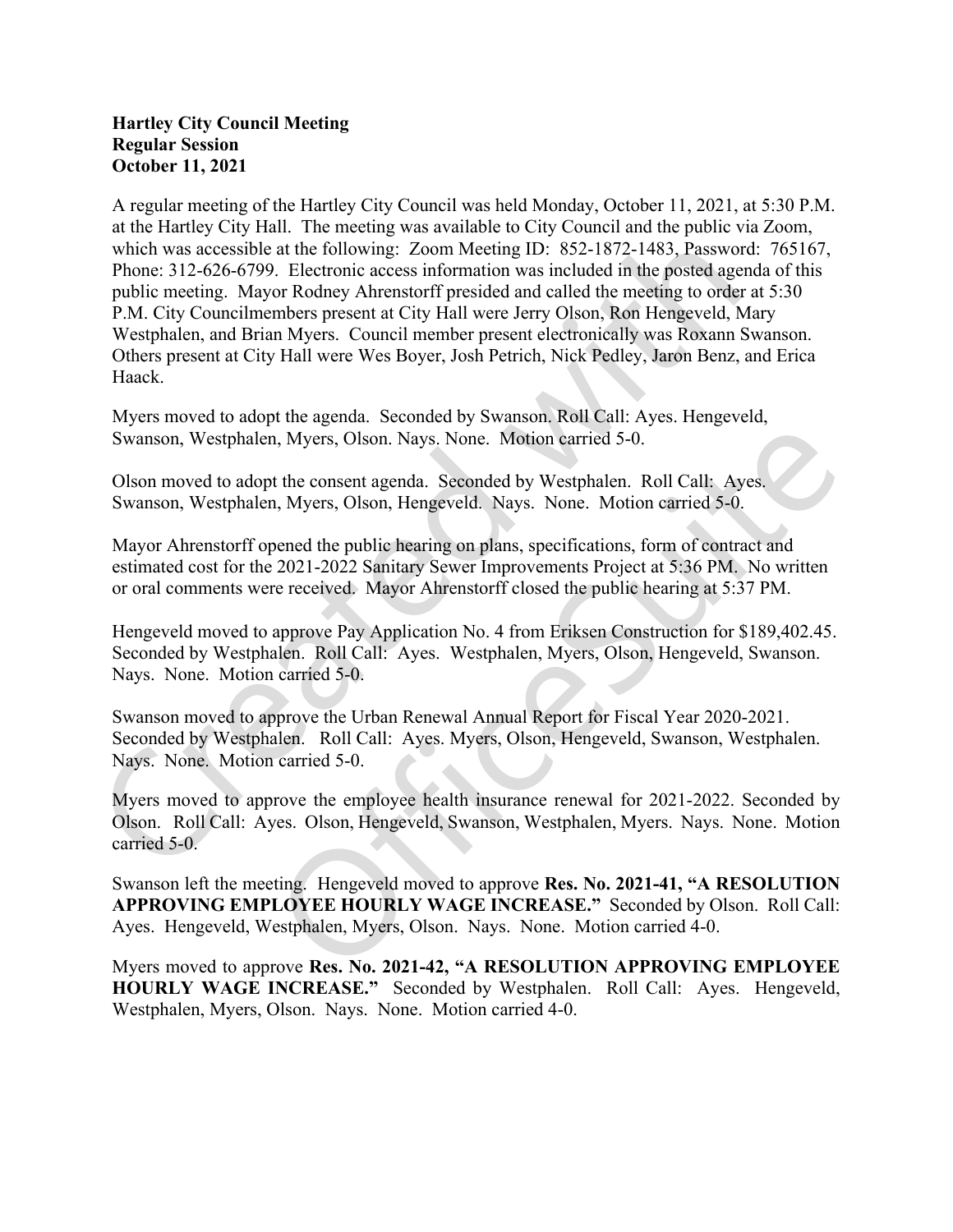## Hartley City Council Meeting Regular Session October 11, 2021

A regular meeting of the Hartley City Council was held Monday, October 11,2021, at 5:30 P.M. at the Hartley City Hall. The meeting was available to City Council and the public via Zoom, which was accessible at the following: Zoom Meeting ID: 852-1872-1483, Password: 765167, Phone: 312-626-6799. Electronic access information was included in the posted agenda of this public meeting. Mayor Rodney Ahrenstorff presided and called the meeting to order at 5:30 P.M. City Councilmembers present at City Hall were Jerry Olson, Ron Hengeveld, Mary Westphalen, and Brian Myers. Council member present electronically was Roxann Swanson. Others present at City Hall were Wes Boyer, Josh Petrich, Nick Pedley, Jaron Benz, and Erica Haack.

Myers moved to adopt the agenda. Seconded by Swanson. Roll Call: Ayes. Hengeveld, Swanson, Westphalen, Myers, Olson. Nays. None. Motion carried 5-0.

Olson moved to adopt the consent agenda. Seconded by Westphalen. Roll Call: Ayes. Swanson, Westphalen, Myers, Olson, Hengeveld. Nays. None. Motion carried 5-0.

Mayor Ahrenstorff opened the public hearing on plans, specifications, form of contract and estimated cost for the 2021-2022 Sanitary Sewer Improvements Project at 5:36 PM. No written or oral comments were received. Mayor Ahrenstorff closed the public hearing at 5:37 PM.

Hengeveld moved to approve Pay Application No. 4 from Eriksen Construction for \$189,402.45. Seconded by Westphalen. Roll Call: Ayes. Westphalen, Myers, Olson, Hengeveld, Swanson. Nays. None. Motion carried 5-0.

Swanson moved to approve the Urban Renewal Annual Report for Fiscal Year 2020-2021. Seconded by Westphalen. Roll Call: Ayes. Myers, Olson, Hengeveld, Swanson, Westphalen. Nays. None. Motion carried 5-0.

Myers moved to approve the employee health insurance renewal for 2021-2022. Seconded by Olson. Roll Call: Ayes. Olson, Hengeveld, Swanson, Westphalen, Myers. Nays. None. Motion carried 5-0.

Swanson left the meeting. Hengeveld moved to approve Res. No. 2021-41, "A RESOLUTION APPROVING EMPLOYEE HOURLY WAGE INCREASE." Seconded by Olson. Roll Call: Ayes. Hengeveld, Westphalen, Myers, Olson. Nays. None. Motion carried 4-0.

Myers moved to approve Res. No. 2021-42, "A RESOLUTION APPROVING EMPLOYEE HOURLY WAGE INCREASE." Seconded by Westphalen. Roll Call: Ayes. Hengeveld, Westphalen, Myers, Olson. Nays. None. Motion carried 4-0.